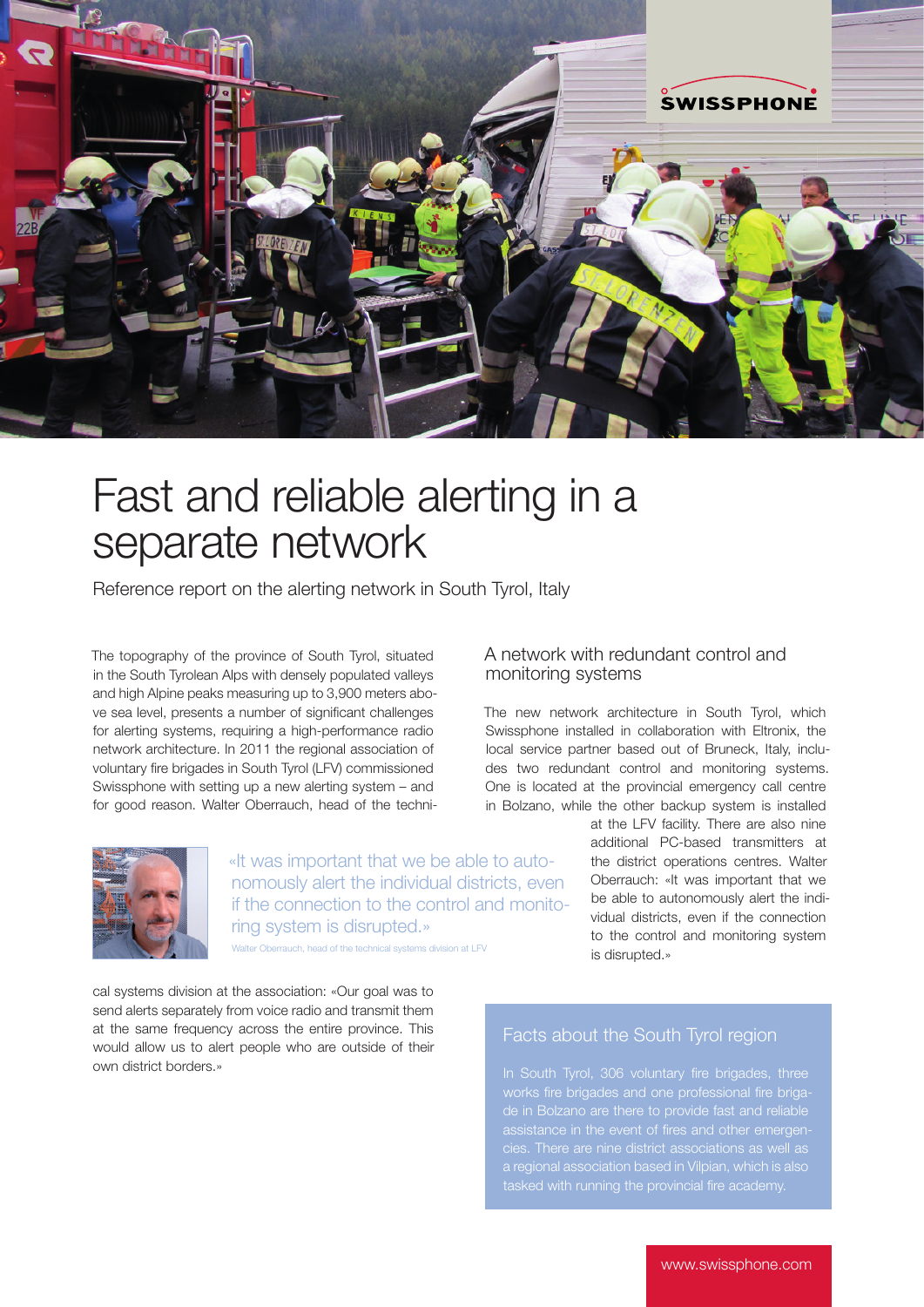

# Fast and reliable alerting in a separate network

Reference report on the alerting network in South Tyrol, Italy

The topography of the province of South Tyrol, situated in the South Tyrolean Alps with densely populated valleys and high Alpine peaks measuring up to 3,900 meters above sea level, presents a number of significant challenges for alerting systems, requiring a high-performance radio network architecture. In 2011 the regional association of voluntary fire brigades in South Tyrol (LFV) commissioned Swissphone with setting up a new alerting system – and for good reason. Walter Oberrauch, head of the techni-



«It was important that we be able to autonomously alert the individual districts, even if the connection to the control and monitoring system is disrupted.» Oberrauch, head of the technical systems division at LFV

cal systems division at the association: «Our goal was to send alerts separately from voice radio and transmit them at the same frequency across the entire province. This would allow us to alert people who are outside of their own district borders.»

#### A network with redundant control and monitoring systems

The new network architecture in South Tyrol, which Swissphone installed in collaboration with Eltronix, the local service partner based out of Bruneck, Italy, includes two redundant control and monitoring systems. One is located at the provincial emergency call centre in Bolzano, while the other backup system is installed

> at the LFV facility. There are also nine additional PC-based transmitters at the district operations centres. Walter Oberrauch: «It was important that we be able to autonomously alert the individual districts, even if the connection to the control and monitoring system is disrupted.»

## Facts about the South Tyrol region

de in Bolzano are there to provide fast and reliable assistance in the event of fires and other emergena regional association based in Vilpian, which is also